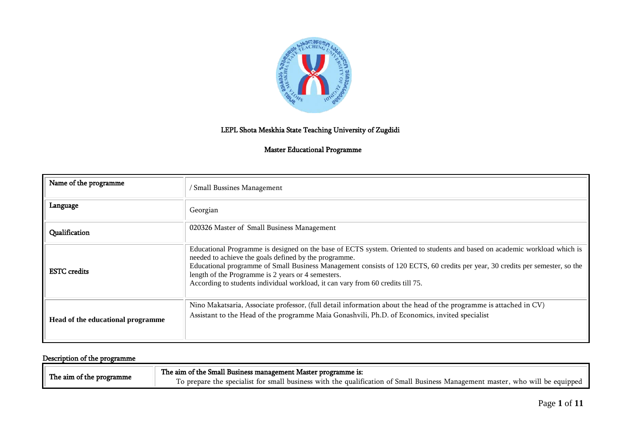

# LEPL Shota Meskhia State Teaching University of Zugdidi

### Master Educational Programme

| Name of the programme             | / Small Bussines Management                                                                                                                                                                                                                                                                                                                                                                                                                                   |
|-----------------------------------|---------------------------------------------------------------------------------------------------------------------------------------------------------------------------------------------------------------------------------------------------------------------------------------------------------------------------------------------------------------------------------------------------------------------------------------------------------------|
| Language                          | Georgian                                                                                                                                                                                                                                                                                                                                                                                                                                                      |
| Qualification                     | 020326 Master of Small Business Management                                                                                                                                                                                                                                                                                                                                                                                                                    |
| <b>ESTC</b> credits               | Educational Programme is designed on the base of ECTS system. Oriented to students and based on academic workload which is<br>needed to achieve the goals defined by the programme.<br>Educational programme of Small Business Management consists of 120 ECTS, 60 credits per year, 30 credits per semester, so the<br>length of the Programme is 2 years or 4 semesters.<br>According to students individual workload, it can vary from 60 credits till 75. |
| Head of the educational programme | Nino Makatsaria, Associate professor, (full detail information about the head of the programme is attached in CV)<br>Assistant to the Head of the programme Maia Gonashvili, Ph.D. of Economics, invited specialist                                                                                                                                                                                                                                           |

# Description of the programme

|                          | The aim of the Small Business management Master programme is:                                                                 |
|--------------------------|-------------------------------------------------------------------------------------------------------------------------------|
| The aim of the programme | To prepare the specialist for small business with the qualification of Small Business Management master, who will be equipped |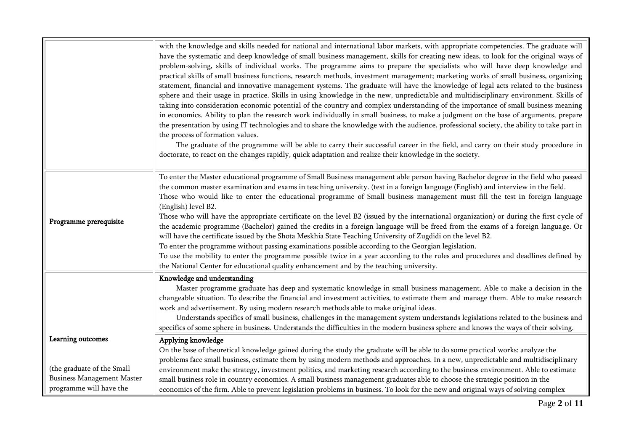|                                                                                      | with the knowledge and skills needed for national and international labor markets, with appropriate competencies. The graduate will<br>have the systematic and deep knowledge of small business management, skills for creating new ideas, to look for the original ways of<br>problem-solving, skills of individual works. The programme aims to prepare the specialists who will have deep knowledge and<br>practical skills of small business functions, research methods, investment management; marketing works of small business, organizing<br>statement, financial and innovative management systems. The graduate will have the knowledge of legal acts related to the business<br>sphere and their usage in practice. Skills in using knowledge in the new, unpredictable and multidisciplinary environment. Skills of<br>taking into consideration economic potential of the country and complex understanding of the importance of small business meaning<br>in economics. Ability to plan the research work individually in small business, to make a judgment on the base of arguments, prepare<br>the presentation by using IT technologies and to share the knowledge with the audience, professional society, the ability to take part in<br>the process of formation values.<br>The graduate of the programme will be able to carry their successful career in the field, and carry on their study procedure in<br>doctorate, to react on the changes rapidly, quick adaptation and realize their knowledge in the society. |
|--------------------------------------------------------------------------------------|-----------------------------------------------------------------------------------------------------------------------------------------------------------------------------------------------------------------------------------------------------------------------------------------------------------------------------------------------------------------------------------------------------------------------------------------------------------------------------------------------------------------------------------------------------------------------------------------------------------------------------------------------------------------------------------------------------------------------------------------------------------------------------------------------------------------------------------------------------------------------------------------------------------------------------------------------------------------------------------------------------------------------------------------------------------------------------------------------------------------------------------------------------------------------------------------------------------------------------------------------------------------------------------------------------------------------------------------------------------------------------------------------------------------------------------------------------------------------------------------------------------------------------------------------|
| Programme prerequisite                                                               | To enter the Master educational programme of Small Business management able person having Bachelor degree in the field who passed<br>the common master examination and exams in teaching university. (test in a foreign language (English) and interview in the field.<br>Those who would like to enter the educational programme of Small business management must fill the test in foreign language<br>(English) level B2.<br>Those who will have the appropriate certificate on the level B2 (issued by the international organization) or during the first cycle of<br>the academic programme (Bachelor) gained the credits in a foreign language will be freed from the exams of a foreign language. Or<br>will have the certificate issued by the Shota Meskhia State Teaching University of Zugdidi on the level B2.<br>To enter the programme without passing examinations possible according to the Georgian legislation.<br>To use the mobility to enter the programme possible twice in a year according to the rules and procedures and deadlines defined by<br>the National Center for educational quality enhancement and by the teaching university.                                                                                                                                                                                                                                                                                                                                                                           |
|                                                                                      | Knowledge and understanding<br>Master programme graduate has deep and systematic knowledge in small business management. Able to make a decision in the<br>changeable situation. To describe the financial and investment activities, to estimate them and manage them. Able to make research<br>work and advertisement. By using modern research methods able to make original ideas.<br>Understands specifics of small business, challenges in the management system understands legislations related to the business and<br>specifics of some sphere in business. Understands the difficulties in the modern business sphere and knows the ways of their solving.                                                                                                                                                                                                                                                                                                                                                                                                                                                                                                                                                                                                                                                                                                                                                                                                                                                                          |
| Learning outcomes<br>(the graduate of the Small<br><b>Business Management Master</b> | Applying knowledge<br>On the base of theoretical knowledge gained during the study the graduate will be able to do some practical works: analyze the<br>problems face small business, estimate them by using modern methods and approaches. In a new, unpredictable and multidisciplinary<br>environment make the strategy, investment politics, and marketing research according to the business environment. Able to estimate                                                                                                                                                                                                                                                                                                                                                                                                                                                                                                                                                                                                                                                                                                                                                                                                                                                                                                                                                                                                                                                                                                               |
| programme will have the                                                              | small business role in country economics. A small business management graduates able to choose the strategic position in the<br>economics of the firm. Able to prevent legislation problems in business. To look for the new and original ways of solving complex                                                                                                                                                                                                                                                                                                                                                                                                                                                                                                                                                                                                                                                                                                                                                                                                                                                                                                                                                                                                                                                                                                                                                                                                                                                                             |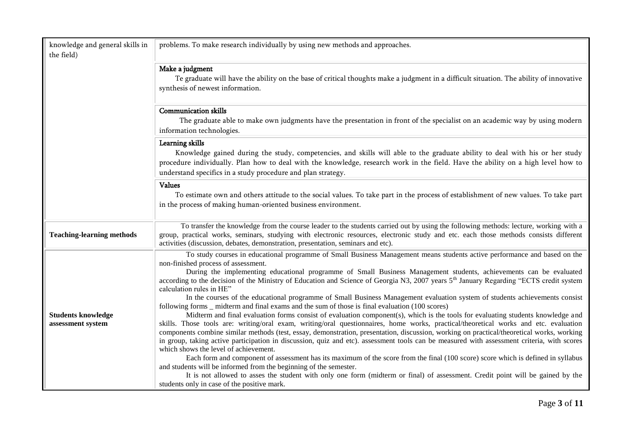| knowledge and general skills in<br>the field)  | problems. To make research individually by using new methods and approaches.                                                                                                                                                                                                                                                                                                                                                                                                                                                                                                                                                                                                                                                                                                                                                                                                                                                                                                                                                                                                                                                                                                                                                                                                                                                                                                                                                                                                                                                                                                                                                                                                                                        |
|------------------------------------------------|---------------------------------------------------------------------------------------------------------------------------------------------------------------------------------------------------------------------------------------------------------------------------------------------------------------------------------------------------------------------------------------------------------------------------------------------------------------------------------------------------------------------------------------------------------------------------------------------------------------------------------------------------------------------------------------------------------------------------------------------------------------------------------------------------------------------------------------------------------------------------------------------------------------------------------------------------------------------------------------------------------------------------------------------------------------------------------------------------------------------------------------------------------------------------------------------------------------------------------------------------------------------------------------------------------------------------------------------------------------------------------------------------------------------------------------------------------------------------------------------------------------------------------------------------------------------------------------------------------------------------------------------------------------------------------------------------------------------|
|                                                | Make a judgment<br>Te graduate will have the ability on the base of critical thoughts make a judgment in a difficult situation. The ability of innovative<br>synthesis of newest information.                                                                                                                                                                                                                                                                                                                                                                                                                                                                                                                                                                                                                                                                                                                                                                                                                                                                                                                                                                                                                                                                                                                                                                                                                                                                                                                                                                                                                                                                                                                       |
|                                                | <b>Communication skills</b><br>The graduate able to make own judgments have the presentation in front of the specialist on an academic way by using modern<br>information technologies.                                                                                                                                                                                                                                                                                                                                                                                                                                                                                                                                                                                                                                                                                                                                                                                                                                                                                                                                                                                                                                                                                                                                                                                                                                                                                                                                                                                                                                                                                                                             |
|                                                | Learning skills<br>Knowledge gained during the study, competencies, and skills will able to the graduate ability to deal with his or her study<br>procedure individually. Plan how to deal with the knowledge, research work in the field. Have the ability on a high level how to<br>understand specifics in a study procedure and plan strategy.                                                                                                                                                                                                                                                                                                                                                                                                                                                                                                                                                                                                                                                                                                                                                                                                                                                                                                                                                                                                                                                                                                                                                                                                                                                                                                                                                                  |
|                                                | <b>Values</b><br>To estimate own and others attitude to the social values. To take part in the process of establishment of new values. To take part<br>in the process of making human-oriented business environment.                                                                                                                                                                                                                                                                                                                                                                                                                                                                                                                                                                                                                                                                                                                                                                                                                                                                                                                                                                                                                                                                                                                                                                                                                                                                                                                                                                                                                                                                                                |
| <b>Teaching-learning methods</b>               | To transfer the knowledge from the course leader to the students carried out by using the following methods: lecture, working with a<br>group, practical works, seminars, studying with electronic resources, electronic study and etc. each those methods consists different<br>activities (discussion, debates, demonstration, presentation, seminars and etc).                                                                                                                                                                                                                                                                                                                                                                                                                                                                                                                                                                                                                                                                                                                                                                                                                                                                                                                                                                                                                                                                                                                                                                                                                                                                                                                                                   |
| <b>Students knowledge</b><br>assessment system | To study courses in educational programme of Small Business Management means students active performance and based on the<br>non-finished process of assessment.<br>During the implementing educational programme of Small Business Management students, achievements can be evaluated<br>according to the decision of the Ministry of Education and Science of Georgia N3, 2007 years 5 <sup>th</sup> January Regarding "ECTS credit system<br>calculation rules in HE"<br>In the courses of the educational programme of Small Business Management evaluation system of students achievements consist<br>following forms _ midterm and final exams and the sum of those is final evaluation (100 scores)<br>Midterm and final evaluation forms consist of evaluation component(s), which is the tools for evaluating students knowledge and<br>skills. Those tools are: writing/oral exam, writing/oral questionnaires, home works, practical/theoretical works and etc. evaluation<br>components combine similar methods (test, essay, demonstration, presentation, discussion, working on practical/theoretical works, working<br>in group, taking active participation in discussion, quiz and etc). assessment tools can be measured with assessment criteria, with scores<br>which shows the level of achievement.<br>Each form and component of assessment has its maximum of the score from the final (100 score) score which is defined in syllabus<br>and students will be informed from the beginning of the semester.<br>It is not allowed to asses the student with only one form (midterm or final) of assessment. Credit point will be gained by the<br>students only in case of the positive mark. |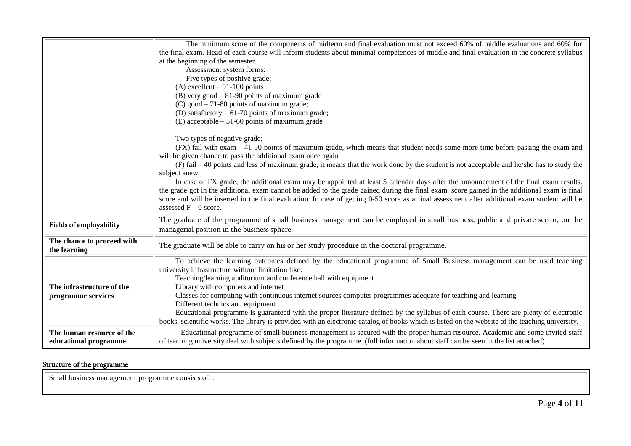|                                            | The minimum score of the components of midterm and final evaluation must not exceed 60% of middle evaluations and 60% for                                                                     |
|--------------------------------------------|-----------------------------------------------------------------------------------------------------------------------------------------------------------------------------------------------|
|                                            | the final exam. Head of each course will inform students about minimal competences of middle and final evaluation in the concrete syllabus                                                    |
|                                            | at the beginning of the semester.<br>Assessment system forms:                                                                                                                                 |
|                                            | Five types of positive grade:                                                                                                                                                                 |
|                                            | (A) excellent $-91-100$ points                                                                                                                                                                |
|                                            | (B) very good $-81-90$ points of maximum grade                                                                                                                                                |
|                                            | $(C)$ good $-71-80$ points of maximum grade;                                                                                                                                                  |
|                                            | (D) satisfactory $-61-70$ points of maximum grade;                                                                                                                                            |
|                                            | (E) acceptable $-51-60$ points of maximum grade                                                                                                                                               |
|                                            | Two types of negative grade;                                                                                                                                                                  |
|                                            | (FX) fail with exam - 41-50 points of maximum grade, which means that student needs some more time before passing the exam and<br>will be given chance to pass the additional exam once again |
|                                            | (F) fail - 40 points and less of maximum grade, it means that the work done by the student is not acceptable and he/she has to study the<br>subject anew.                                     |
|                                            | In case of FX grade, the additional exam may be appointed at least 5 calendar days after the announcement of the final exam results.                                                          |
|                                            | the grade got in the additional exam cannot be added to the grade gained during the final exam. score gained in the additional exam is final                                                  |
|                                            | score and will be inserted in the final evaluation. In case of getting 0-50 score as a final assessment after additional exam student will be<br>assessed $F - 0$ score.                      |
| Fields of employability                    | The graduate of the programme of small business management can be employed in small business, public and private sector, on the<br>managerial position in the business sphere.                |
| The chance to proceed with<br>the learning | The graduate will be able to carry on his or her study procedure in the doctoral programme.                                                                                                   |
|                                            | To achieve the learning outcomes defined by the educational programme of Small Business management can be used teaching<br>university infrastructure without limitation like:                 |
|                                            | Teaching/learning auditorium and conference hall with equipment                                                                                                                               |
| The infrastructure of the                  | Library with computers and internet                                                                                                                                                           |
| programme services                         | Classes for computing with continuous internet sources computer programmes adequate for teaching and learning                                                                                 |
|                                            | Different technics and equipment                                                                                                                                                              |
|                                            | Educational programme is guaranteed with the proper literature defined by the syllabus of each course. There are plenty of electronic                                                         |
|                                            | books, scientific works. The library is provided with an electronic catalog of books which is listed on the website of the teaching university.                                               |
| The human resource of the                  | Educational programme of small business management is secured with the proper human resource. Academic and some invited staff                                                                 |
| educational programme                      | of teaching university deal with subjects defined by the programme. (full information about staff can be seen in the list attached)                                                           |

# Structure of the programme

Small business management programme consists of: :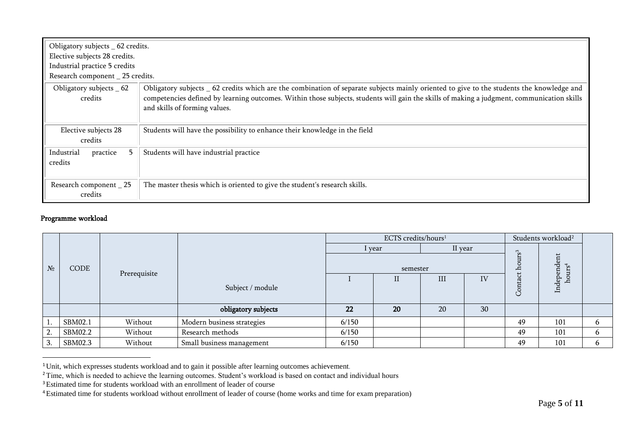| Obligatory subjects _ 62 credits.<br>Elective subjects 28 credits.<br>Industrial practice 5 credits<br>Research component _ 25 credits. |                                                                                                                                                                                                                                                                                                                        |
|-----------------------------------------------------------------------------------------------------------------------------------------|------------------------------------------------------------------------------------------------------------------------------------------------------------------------------------------------------------------------------------------------------------------------------------------------------------------------|
| Obligatory subjects _ 62<br>credits                                                                                                     | Obligatory subjects 62 credits which are the combination of separate subjects mainly oriented to give to the students the knowledge and<br>competencies defined by learning outcomes. Within those subjects, students will gain the skills of making a judgment, communication skills<br>and skills of forming values. |
| Elective subjects 28<br>credits                                                                                                         | Students will have the possibility to enhance their knowledge in the field                                                                                                                                                                                                                                             |
| Industrial<br>practice<br>5.<br>credits                                                                                                 | Students will have industrial practice                                                                                                                                                                                                                                                                                 |
| Research component _ 25<br>credits                                                                                                      | The master thesis which is oriented to give the student's research skills.                                                                                                                                                                                                                                             |

#### Programme workload

 $\overline{a}$ 

|       |         |              |                            | ECTS credits/hours <sup>1</sup> |        |         |    |                     | Students workload <sup>2</sup> |              |  |
|-------|---------|--------------|----------------------------|---------------------------------|--------|---------|----|---------------------|--------------------------------|--------------|--|
|       |         |              |                            |                                 | I year | II year |    |                     |                                |              |  |
| $N_2$ | CODE    | Prerequisite |                            | semester                        |        |         |    | $\text{urs}^3$<br>ā | Independent                    |              |  |
|       |         |              |                            |                                 | П      | III     | IV |                     | hours <sup>4</sup>             |              |  |
|       |         |              | Subject / module           |                                 |        |         |    | Contac              |                                |              |  |
|       |         |              | obligatory subjects        | 22                              | 20     | 20      | 30 |                     |                                |              |  |
|       | SBM02.1 | Without      | Modern business strategies | 6/150                           |        |         |    | 49                  | 101                            | 6.           |  |
| 2.    | SBM02.2 | Without      | Research methods           | 6/150                           |        |         |    | 49                  | 101                            | <sub>n</sub> |  |
| 3.    | SBM02.3 | Without      | Small business management  | 6/150                           |        |         |    | 49                  | 101                            | 6            |  |

<sup>&</sup>lt;sup>1</sup>Unit, which expresses students workload and to gain it possible after learning outcomes achievement.

<sup>&</sup>lt;sup>2</sup>Time, which is needed to achieve the learning outcomes. Student's workload is based on contact and individual hours

<sup>&</sup>lt;sup>3</sup>Estimated time for students workload with an enrollment of leader of course

<sup>4</sup>Estimated time for students workload without enrollment of leader of course (home works and time for exam preparation)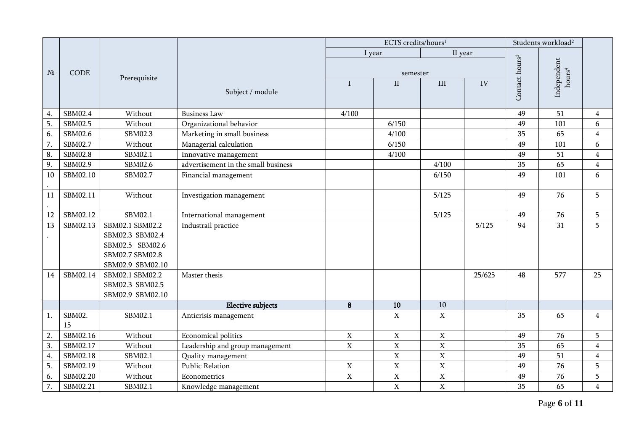|        |                |                                    |                                     |                | ECTS credits/hours <sup>1</sup> |                | Students workload <sup>2</sup> |                            |                    |                         |
|--------|----------------|------------------------------------|-------------------------------------|----------------|---------------------------------|----------------|--------------------------------|----------------------------|--------------------|-------------------------|
|        |                |                                    |                                     | I year         |                                 | II year        |                                |                            |                    |                         |
|        |                |                                    |                                     |                |                                 |                |                                | Contact hours <sup>3</sup> | Independent        |                         |
| $N_2$  | CODE           | Prerequisite                       |                                     |                | semester                        |                |                                |                            | hours <sup>4</sup> |                         |
|        |                |                                    | Subject / module                    | $\mathbf I$    | $\rm II$                        | $\rm III$      | IV                             |                            |                    |                         |
|        |                |                                    |                                     |                |                                 |                |                                |                            |                    |                         |
| 4.     | SBM02.4        | Without                            | <b>Business Law</b>                 | 4/100          |                                 |                |                                | 49                         | 51                 | $\overline{4}$          |
| 5.     | SBM02.5        | Without                            | Organizational behavior             |                | 6/150                           |                |                                | 49                         | 101                | 6                       |
| 6.     | SBM02.6        | SBM02.3                            | Marketing in small business         |                | 4/100                           |                |                                | 35                         | 65                 | $\overline{4}$          |
| 7.     | SBM02.7        | Without                            | Managerial calculation              |                | 6/150                           |                |                                | 49                         | 101                | 6                       |
| 8.     | <b>SBM02.8</b> | SBM02.1                            | Innovative management               |                | 4/100                           |                |                                | 49                         | 51                 | $\overline{\mathbf{4}}$ |
| 9.     | SBM02.9        | SBM02.6                            | advertisement in the small business |                |                                 | 4/100          |                                | 35                         | 65                 | $\overline{4}$          |
| $10\,$ | SBM02.10       | SBM02.7                            | Financial management                |                |                                 | 6/150          |                                | 49                         | 101                | 6                       |
|        |                |                                    |                                     |                |                                 |                |                                |                            |                    |                         |
| 11     | SBM02.11       | Without                            | Investigation management            |                |                                 | 5/125          |                                | 49                         | 76                 | 5                       |
|        |                |                                    |                                     |                |                                 |                |                                |                            |                    |                         |
| 12     | SBM02.12       | SBM02.1                            | International management            |                |                                 | 5/125          |                                | 49                         | 76                 | 5                       |
| 13     | SBM02.13       | SBM02.1 SBM02.2                    | Industrail practice                 |                |                                 |                | 5/125                          | 94                         | 31                 | 5                       |
|        |                | SBM02.3 SBM02.4                    |                                     |                |                                 |                |                                |                            |                    |                         |
|        |                | SBM02.5 SBM02.6<br>SBM02.7 SBM02.8 |                                     |                |                                 |                |                                |                            |                    |                         |
|        |                | SBM02.9 SBM02.10                   |                                     |                |                                 |                |                                |                            |                    |                         |
| 14     | SBM02.14       | SBM02.1 SBM02.2                    | Master thesis                       |                |                                 |                | 25/625                         | 48                         | 577                | 25                      |
|        |                | SBM02.3 SBM02.5                    |                                     |                |                                 |                |                                |                            |                    |                         |
|        |                | SBM02.9 SBM02.10                   |                                     |                |                                 |                |                                |                            |                    |                         |
|        |                |                                    | <b>Elective subjects</b>            | 8              | $10\,$                          | $10\,$         |                                |                            |                    |                         |
| 1.     | SBM02.         | SBM02.1                            | Anticrisis management               |                | $\mathbf X$                     | $\mathbf X$    |                                | 35                         | 65                 | $\overline{4}$          |
|        | 15             |                                    |                                     |                |                                 |                |                                |                            |                    |                         |
| 2.     | SBM02.16       | Without                            | Economical politics                 | $\overline{X}$ | $\mathbf X$                     | $\mathbf X$    |                                | 49                         | 76                 | 5                       |
| 3.     | SBM02.17       | Without                            | Leadership and group management     | $\mathbf X$    | $\overline{X}$                  | $\mathbf X$    |                                | 35                         | 65                 | $\overline{4}$          |
| 4.     | SBM02.18       | SBM02.1                            | Quality management                  |                | $\mathbf X$                     | $\mathbf X$    |                                | 49                         | 51                 | $\overline{4}$          |
| 5.     | SBM02.19       | Without                            | Public Relation                     | $\mathbf X$    | $\mathbf X$                     | $\mathbf X$    |                                | 49                         | 76                 | 5                       |
| 6.     | SBM02.20       | Without                            | Econometrics                        | $\mathbf X$    | $\mathbf X$                     | $\mathbf X$    |                                | 49                         | 76                 | 5                       |
| 7.     | SBM02.21       | SBM02.1                            | Knowledge management                |                | $\mathbf X$                     | $\overline{X}$ |                                | 35                         | 65                 | $\overline{4}$          |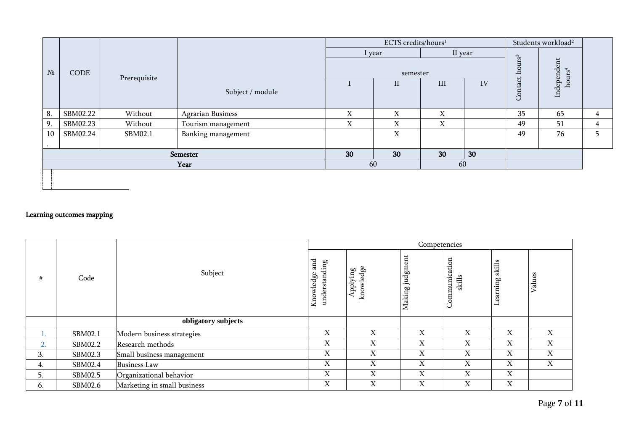|               |          |          |                          |        | ECTS credits/hours <sup>1</sup> |     |         |                    | Students workload <sup>2</sup>    |   |
|---------------|----------|----------|--------------------------|--------|---------------------------------|-----|---------|--------------------|-----------------------------------|---|
|               |          |          |                          | I year |                                 |     | II year |                    |                                   |   |
| $N_2$<br>CODE |          |          | Prerequisite             |        | semester                        |     |         | hours <sup>3</sup> | Independent<br>hours <sup>4</sup> |   |
|               |          |          | Subject / module         |        | $\mathbf{I}$                    | III | IV      | Contact            |                                   |   |
| 8.            | SBM02.22 | Without  | <b>Agrarian Business</b> | X      | X                               | X   |         | 35                 | 65                                | 4 |
| 9.            | SBM02.23 | Without  | Tourism management       | X      | X                               | X   |         | 49                 | 51                                | 4 |
| 10            | SBM02.24 | SBM02.1  | Banking management       |        | X                               |     |         | 49                 | 76                                | 5 |
|               |          |          |                          |        |                                 |     |         |                    |                                   |   |
|               |          | Semester | 30                       | 30     | 30                              | 30  |         |                    |                                   |   |
|               | Year     |          |                          |        | 60                              | 60  |         |                    |                                   |   |
|               |          |          |                          |        |                                 |     |         |                    |                                   |   |

# Learning outcomes mapping

|<br>|

|    |         |                             |                   |                                  | Competencies    |                         |                    |        |
|----|---------|-----------------------------|-------------------|----------------------------------|-----------------|-------------------------|--------------------|--------|
| #  | Code    | Subject<br>Knowledge        |                   | dge<br>Applying<br>∾<br>$\rm km$ | Making judgment | Communication<br>skills | skills<br>Learning | Values |
|    |         | obligatory subjects         |                   |                                  |                 |                         |                    |        |
|    | SBM02.1 | Modern business strategies  | $\mathbf{v}$<br>л | X                                | X               | X                       | X                  | X      |
| 2. | SBM02.2 | Research methods            | X                 | X                                | X               | X                       | X                  | X      |
| 3. | SBM02.3 | Small business management   | X                 | X                                | X               | X                       | X                  | X      |
| 4. | SBM02.4 | <b>Business Law</b>         | X                 | X                                | X               | X                       | X                  | X      |
| כ. | SBM02.5 | Organizational behavior     | X                 | Χ                                | X               | X                       | X                  |        |
| 6. | SBM02.6 | Marketing in small business | $\mathbf{v}$<br>A | X                                | X               | X                       | $\mathbf v$<br>A   |        |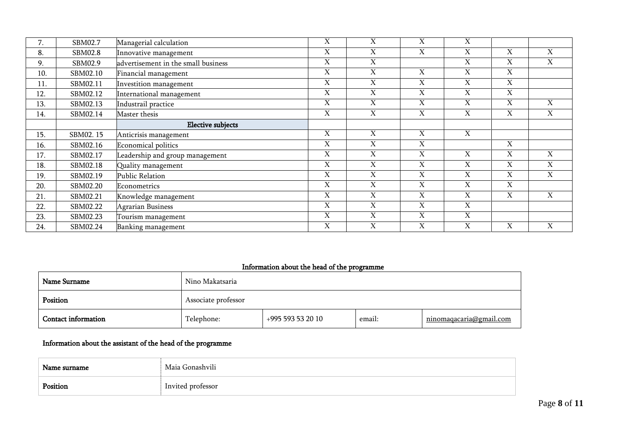| 7.  | SBM02.7  | Managerial calculation              | X                     | X                         | X                     | $\boldsymbol{\mathrm{X}}$ |                           |                           |
|-----|----------|-------------------------------------|-----------------------|---------------------------|-----------------------|---------------------------|---------------------------|---------------------------|
| 8.  | SBM02.8  | Innovative management               | $\overline{\text{X}}$ | $\overline{\text{X}}$     | $\overline{\text{X}}$ | $\overline{X}$            | $\overline{\text{X}}$     | $\overline{X}$            |
| 9.  | SBM02.9  | advertisement in the small business | X                     | $\boldsymbol{\mathrm{X}}$ |                       | X                         | X                         | $\mathbf X$               |
| 10. | SBM02.10 | Financial management                | X                     | $\boldsymbol{\mathrm{X}}$ | X                     | $\mathbf X$               | X                         |                           |
| 11. | SBM02.11 | Investition management              | X                     | X                         | X                     | X                         | X                         |                           |
| 12. | SBM02.12 | International management            | X                     | X                         | X                     | X                         | X                         |                           |
| 13. | SBM02.13 | Industrail practice                 | X                     | X                         | X                     | $\mathbf X$               | X                         | $\boldsymbol{\mathrm{X}}$ |
| 14. | SBM02.14 | Master thesis                       | X                     | X                         | X                     | X                         | X                         | $\mathbf X$               |
|     |          | <b>Elective subjects</b>            |                       |                           |                       |                           |                           |                           |
| 15. | SBM02.15 | Anticrisis management               | X                     | $\boldsymbol{\mathrm{X}}$ | $\mathbf X$           | X                         |                           |                           |
| 16. | SBM02.16 | <b>Economical politics</b>          | X                     | X                         | X                     |                           | X                         |                           |
| 17. | SBM02.17 | Leadership and group management     | X                     | $\boldsymbol{\mathrm{X}}$ | X                     | $\boldsymbol{\mathrm{X}}$ | $\boldsymbol{\mathrm{X}}$ | $\mathbf X$               |
| 18. | SBM02.18 | Quality management                  | X                     | $\boldsymbol{\mathrm{X}}$ | X                     | X                         | X                         | $\mathbf X$               |
| 19. | SBM02.19 | <b>Public Relation</b>              | X                     | $\boldsymbol{\mathrm{X}}$ | X                     | $\boldsymbol{\mathrm{X}}$ | X                         | $\mathbf X$               |
| 20. | SBM02.20 | Econometrics                        | X                     | X                         | X                     | X                         | X                         |                           |
| 21. | SBM02.21 | Knowledge management                | X                     | X                         | X                     | X                         | X                         | X                         |
| 22. | SBM02.22 | Agrarian Business                   | $\overline{\text{X}}$ | $\overline{\text{X}}$     | $\overline{\text{X}}$ | $\overline{X}$            |                           |                           |
| 23. | SBM02.23 | Tourism management                  | X                     | X                         | X                     | X                         |                           |                           |
| 24. | SBM02.24 | Banking management                  | X                     | X                         | X                     | $\boldsymbol{\mathrm{X}}$ | X                         | $\mathbf X$               |

# Information about the head of the programme

| Name Surname               | Nino Makatsaria     |                   |        |                                |  |  |  |  |  |
|----------------------------|---------------------|-------------------|--------|--------------------------------|--|--|--|--|--|
| Position                   | Associate professor |                   |        |                                |  |  |  |  |  |
| <b>Contact information</b> | Telephone:          | +995 593 53 20 10 | email: | <u>ninomaqacaria@gmail.com</u> |  |  |  |  |  |

# Information about the assistant of the head of the programme

| Name surname | Maia Gonashvili   |
|--------------|-------------------|
| Position     | Invited professor |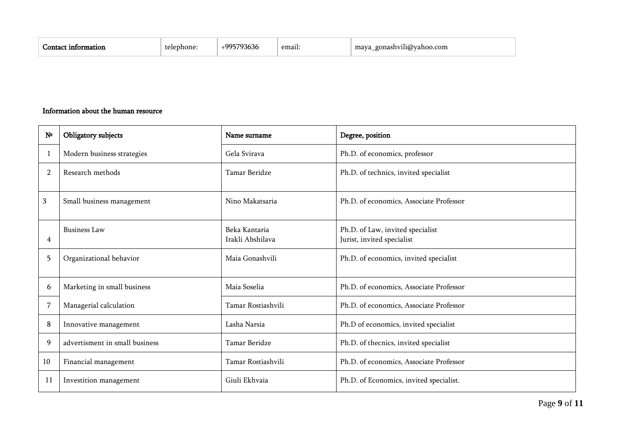| `tıon<br><b>Informar</b> | ימ<br>$\sim$<br>one | eman. | .<br>com<br>$\alpha$<br>iashvili@v<br>mava |
|--------------------------|---------------------|-------|--------------------------------------------|
|--------------------------|---------------------|-------|--------------------------------------------|

### Information about the human resource

| $\mathbf{N}^{\mathsf{o}}$ | Obligatory subjects            | Name surname                      | Degree, position                                               |
|---------------------------|--------------------------------|-----------------------------------|----------------------------------------------------------------|
| -1                        | Modern business strategies     | Gela Svirava                      | Ph.D. of economics, professor                                  |
| $\overline{2}$            | Research methods               | Tamar Beridze                     | Ph.D. of technics, invited specialist                          |
| 3                         | Small business management      | Nino Makatsaria                   | Ph.D. of economics, Associate Professor                        |
| 4                         | <b>Business Law</b>            | Beka Kantaria<br>Irakli Abshilava | Ph.D. of Law, invited specialist<br>Jurist, invited specialist |
| 5                         | Organizational behavior        | Maia Gonashvili                   | Ph.D. of economics, invited specialist                         |
| 6                         | Marketing in small business    | Maia Soselia                      | Ph.D. of economics, Associate Professor                        |
| 7                         | Managerial calculation         | Tamar Rostiashvili                | Ph.D. of economics, Associate Professor                        |
| 8                         | Innovative management          | Lasha Narsia                      | Ph.D of economics, invited specialist                          |
| 9                         | advertisment in small business | Tamar Beridze                     | Ph.D. of thecnics, invited specialist                          |
| 10                        | Financial management           | Tamar Rostiashvili                | Ph.D. of economics, Associate Professor                        |
| 11                        | Investition management         | Giuli Ekhvaia                     | Ph.D. of Economics, invited specialist.                        |